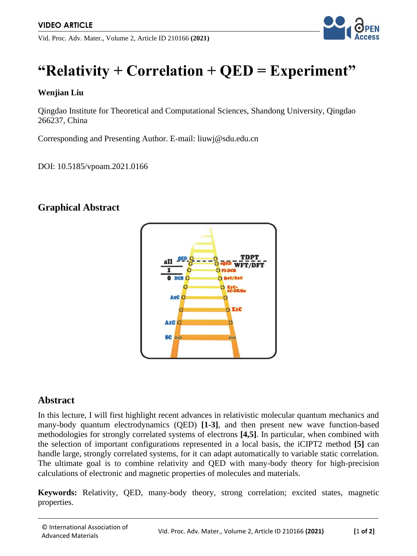Vid. Proc. Adv. Mater., Volume 2, Article ID 210166 **(2021)**



# **"Relativity + Correlation + QED = Experiment"**

#### **Wenjian Liu**

Qingdao Institute for Theoretical and Computational Sciences, Shandong University, Qingdao 266237, China

Corresponding and Presenting Author. E-mail: liuwj@sdu.edu.cn

DOI: 10.5185/vpoam.2021.0166

## **Graphical Abstract**



#### **Abstract**

In this lecture, I will first highlight recent advances in relativistic molecular quantum mechanics and many-body quantum electrodynamics (QED) **[1-3]**, and then present new wave function-based methodologies for strongly correlated systems of electrons **[4,5]**. In particular, when combined with the selection of important configurations represented in a local basis, the iCIPT2 method **[5]** can handle large, strongly correlated systems, for it can adapt automatically to variable static correlation. The ultimate goal is to combine relativity and QED with many-body theory for high-precision calculations of electronic and magnetic properties of molecules and materials.

**Keywords:** Relativity, QED, many-body theory, strong correlation; excited states, magnetic properties.